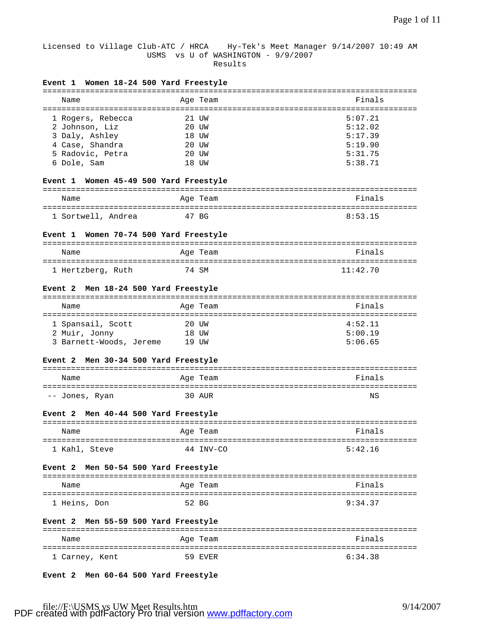## Licensed to Village Club-ATC / HRCA Hy-Tek's Meet Manager 9/14/2007 10:49 AM USMS vs U of WASHINGTON - 9/9/2007 Results

| Event 1 Women 18-24 500 Yard Freestyle         |           |          |
|------------------------------------------------|-----------|----------|
| Name<br>====================================== | Age Team  | Finals   |
| 1 Rogers, Rebecca                              | 21 UW     | 5:07.21  |
| 2 Johnson, Liz                                 | 20 UW     | 5:12.02  |
| 3 Daly, Ashley                                 | 18 UW     | 5:17.39  |
| 4 Case, Shandra                                | 20 UW     | 5:19.90  |
| 5 Radovic, Petra                               | 20 UW     | 5:31.75  |
| 6 Dole, Sam                                    | 18 UW     | 5:38.71  |
| Event 1 Women 45-49 500 Yard Freestyle         |           |          |
| Name                                           | Age Team  | Finals   |
| 1 Sortwell, Andrea                             | 47 BG     | 8:53.15  |
| Event 1 Women 70-74 500 Yard Freestyle         |           |          |
| Name                                           | Age Team  | Finals   |
| 1 Hertzberg, Ruth                              | 74 SM     | 11:42.70 |
|                                                |           |          |
| Event 2 Men 18-24 500 Yard Freestyle           |           |          |
| Name                                           | Age Team  | Finals   |
| 1 Spansail, Scott                              | 20 UW     | 4:52.11  |
| 2 Muir, Jonny                                  | 18 UW     | 5:00.19  |
| 3 Barnett-Woods, Jereme                        | 19 UW     | 5:06.65  |
| Event 2 Men 30-34 500 Yard Freestyle           |           |          |
| Name                                           | Age Team  | Finals   |
|                                                |           |          |
| -- Jones, Ryan                                 | 30 AUR    | ΝS       |
| Event 2 Men 40-44 500 Yard Freestyle           |           |          |
| Name                                           | Age Team  | Finals   |
| 1 Kahl, Steve                                  | 44 INV-CO | 5:42.16  |
|                                                |           |          |
| Event 2 Men 50-54 500 Yard Freestyle           |           |          |
| Name                                           | Age Team  | Finals   |
| 1 Heins, Don                                   | 52 BG     | 9:34.37  |
| Event 2 Men 55-59 500 Yard Freestyle           |           |          |
| Name                                           | Age Team  | Finals   |
| 1 Carney, Kent                                 | 59 EVER   | 6:34.38  |

**Event 2 Men 60-64 500 Yard Freestyle**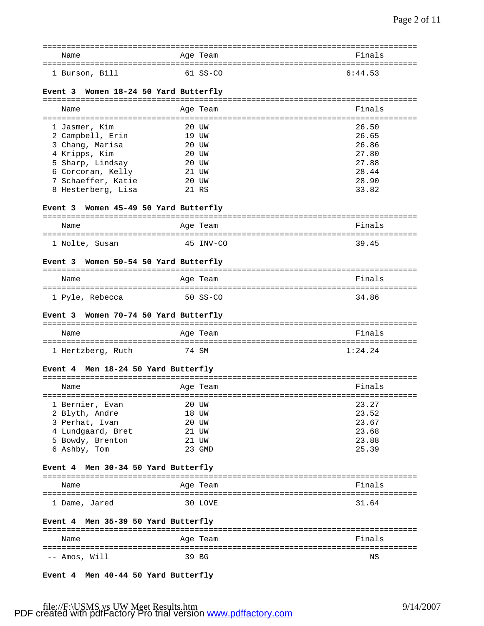| Name           | Age Team   | Finals  |
|----------------|------------|---------|
|                |            |         |
| 1 Burson, Bill | $61$ SS-CO | 6:44.53 |

# **Event 3 Women 18-24 50 Yard Butterfly**

| Name                                     | Age Team       | Finals         |
|------------------------------------------|----------------|----------------|
| 1 Jasmer, Kim                            | 20 UW          | 26.50          |
| 2 Campbell, Erin<br>3 Chang, Marisa      | 19 UW<br>20 UW | 26.65<br>26.86 |
| 4 Kripps, Kim<br>5 Sharp, Lindsay        | 20 UW<br>20 UW | 27.80<br>27.88 |
| 6 Corcoran, Kelly                        | 21 UW          | 28.44          |
| 7 Schaeffer, Katie<br>8 Hesterberg, Lisa | 20 UW<br>21 RS | 28.90<br>33.82 |
|                                          |                |                |

# **Event 3 Women 45-49 50 Yard Butterfly**

| Name           | Age Team  | Finals |
|----------------|-----------|--------|
|                |           |        |
| 1 Nolte, Susan | 45 TNV-CO | 3945   |

## **Event 3 Women 50-54 50 Yard Butterfly**

| Name            | Age Team | Finals |
|-----------------|----------|--------|
|                 |          |        |
| 1 Pyle, Rebecca | 50 SS-CO | 34.86  |

### **Event 3 Women 70-74 50 Yard Butterfly**

| Name              | Age Team | Finals  |
|-------------------|----------|---------|
|                   |          |         |
| 1 Hertzberg, Ruth | 74 SM    | 1:24.24 |

### **Event 4 Men 18-24 50 Yard Butterfly**

| Name              |    | Age Team | Finals |
|-------------------|----|----------|--------|
| 1 Bernier, Evan   |    | 20 UW    | 23.27  |
| 2 Blyth, Andre    |    | 18 UW    | 23.52  |
| 3 Perhat, Ivan    |    | 20 UW    | 23.67  |
| 4 Lundgaard, Bret |    | 21 UW    | 23.68  |
| 5 Bowdy, Brenton  | 21 | tjw      | 23.88  |
| 6 Ashby, Tom      |    | GMD      | 25.39  |

### **Event 4 Men 30-34 50 Yard Butterfly**

| Name          | Age Team | Finals |
|---------------|----------|--------|
|               |          |        |
| 1 Dame, Jared | 30 LOVE  | 31.64  |

# **Event 4 Men 35-39 50 Yard Butterfly**

| Name          | Age Team | Finals |
|---------------|----------|--------|
|               |          |        |
| -- Amos, Will | 39 BG    | ΝS     |

## **Event 4 Men 40-44 50 Yard Butterfly**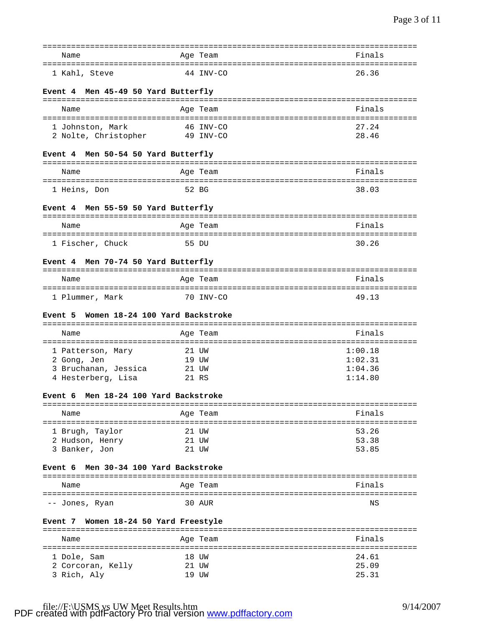| Name                                       | Age Team                                     | Finals            |
|--------------------------------------------|----------------------------------------------|-------------------|
| 1 Kahl, Steve                              | 44 INV-CO                                    | 26.36             |
| Event 4 Men 45-49 50 Yard Butterfly        |                                              |                   |
| Name                                       | Age Team                                     | Finals            |
|                                            |                                              |                   |
| 1 Johnston, Mark                           | 46 INV-CO                                    | 27.24             |
| 2 Nolte, Christopher                       | 49 INV-CO                                    | 28.46             |
| Event 4 Men 50-54 50 Yard Butterfly        |                                              |                   |
| Name                                       | Age Team                                     | Finals            |
| 1 Heins, Don                               | 52 BG                                        | 38.03             |
|                                            |                                              |                   |
| Event 4 Men 55-59 50 Yard Butterfly        |                                              |                   |
| Name                                       | Age Team                                     | Finals            |
|                                            |                                              |                   |
| 1 Fischer, Chuck                           | 55 DU                                        | 30.26             |
| Event 4 Men 70-74 50 Yard Butterfly        |                                              |                   |
| Name                                       | Age Team                                     | Finals            |
|                                            |                                              |                   |
| 1 Plummer, Mark                            | 70 INV-CO                                    | 49.13             |
| Women 18-24 100 Yard Backstroke<br>Event 5 |                                              |                   |
|                                            |                                              |                   |
| Name                                       | Age Team                                     | Finals            |
| 1 Patterson, Mary                          | 21 UW                                        | 1:00.18           |
| 2 Gong, Jen                                | 19 UW                                        | 1:02.31           |
| 3 Bruchanan, Jessica                       | 21 UW                                        | 1:04.36           |
| 4 Hesterberg, Lisa                         | 21 RS                                        | 1:14.80           |
|                                            |                                              |                   |
| Event 6 Men 18-24 100 Yard Backstroke      |                                              |                   |
|                                            |                                              |                   |
| Name                                       | Age Team                                     | Finals            |
|                                            |                                              |                   |
| 1 Brugh, Taylor                            | 21 UW                                        | 53.26             |
| 2 Hudson, Henry<br>3 Banker, Jon           | 21 UW<br>21 UW                               | 53.38<br>53.85    |
|                                            |                                              |                   |
| Men 30-34 100 Yard Backstroke<br>Event 6   |                                              |                   |
| Name                                       | Age Team                                     | Finals            |
| ====================<br>-- Jones, Ryan     | ----------------------------------<br>30 AUR | ===========<br>ΝS |
|                                            |                                              |                   |
| Event 7 Women 18-24 50 Yard Freestyle      |                                              |                   |
| Name                                       | Age Team                                     | Finals            |
|                                            | 18 UW                                        | 24.61             |
| 1 Dole, Sam<br>2 Corcoran, Kelly           | 21 UW                                        | 25.09             |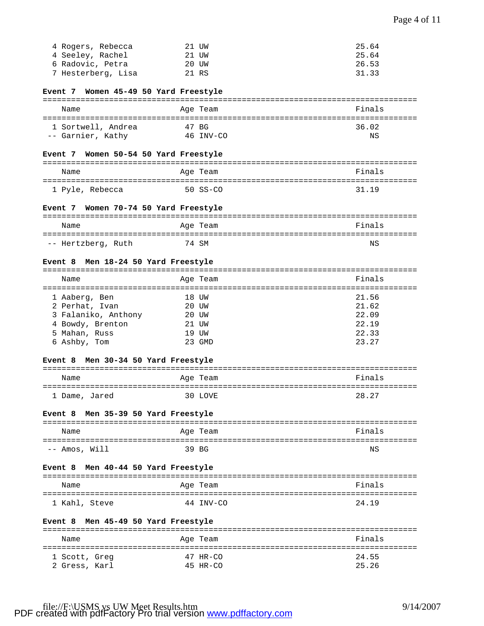| 4 Rogers, Rebecca  | 21 UW | 25.64 |
|--------------------|-------|-------|
| 4 Seeley, Rachel   | 21 UW | 25.64 |
| 6 Radovic, Petra   | 20 UW | 26.53 |
| 7 Hesterberg, Lisa | 21 RS | 31.33 |

# **Event 7 Women 45-49 50 Yard Freestyle**

| Name               | Age Team    | Finals |
|--------------------|-------------|--------|
| 1 Sortwell, Andrea | 47 BG       | 36.02  |
| -- Garnier, Kathy  | $46$ TNV-CO | ΝS     |

### **Event 7 Women 50-54 50 Yard Freestyle**

| Name            | Age Team | Finals |
|-----------------|----------|--------|
|                 |          |        |
| 1 Pyle, Rebecca | 50 SS-CO | 31 19  |

### **Event 7 Women 70-74 50 Yard Freestyle**

| Name               | Age Team | Finals |
|--------------------|----------|--------|
|                    |          |        |
| -- Hertzberg, Ruth | 74 SM    | ΝS     |

# **Event 8 Men 18-24 50 Yard Freestyle**

| Name                |       | Age Team | Finals |
|---------------------|-------|----------|--------|
| 1 Aaberg, Ben       |       | 18 UW    | 21.56  |
| 2 Perhat, Ivan      |       | 20 UW    | 21.62  |
| 3 Falaniko, Anthony | 20 UW |          | 22.09  |
| 4 Bowdy, Brenton    |       | 21 UW    | 22.19  |
| 5 Mahan, Russ       |       | 19 UW    | 22.33  |
| 6 Ashby, Tom        |       | GMD      | 23.27  |

### **Event 8 Men 30-34 50 Yard Freestyle**

| Name          | Age Team | Finals |
|---------------|----------|--------|
| 1 Dame, Jared | 30 LOVE  | 28.27  |

## **Event 8 Men 35-39 50 Yard Freestyle**

| Name          | Age Team | Finals |
|---------------|----------|--------|
|               |          |        |
| -- Amos, Will | 39 BG    | ΝS     |

### **Event 8 Men 40-44 50 Yard Freestyle**

| Name          | Age Team  | Finals |
|---------------|-----------|--------|
|               |           |        |
| 1 Kahl, Steve | 44 INV-CO | 24 19  |

# **Event 8 Men 45-49 50 Yard Freestyle**

| Name          | Age Team | Finals |
|---------------|----------|--------|
| 1 Scott, Greg | 47 HR-CO | 24.55  |
| 2 Gress, Karl | 45 HR-CO | 25.26  |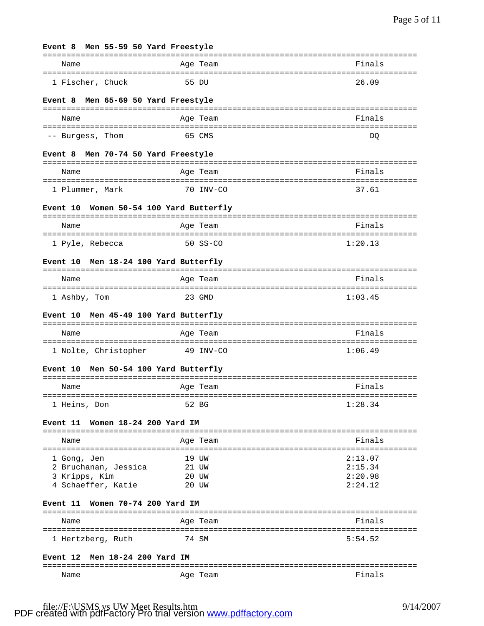| Men 55-59 50 Yard Freestyle<br>Event 8            |                               |                    |
|---------------------------------------------------|-------------------------------|--------------------|
| Name                                              | Age Team                      | Finals             |
| 1 Fischer, Chuck                                  | 55 DU                         | 26.09              |
| Men 65-69 50 Yard Freestyle<br><b>Event 8</b>     | ----------------------------- |                    |
| Name                                              | Age Team<br>==============    | Finals             |
| -- Burgess, Thom                                  | 65 CMS                        | DQ                 |
| Men 70-74 50 Yard Freestyle<br>Event 8            |                               |                    |
| Name                                              | Age Team                      | Finals             |
| 1 Plummer, Mark                                   | 70 INV-CO                     | 37.61              |
| Women 50-54 100 Yard Butterfly<br><b>Event 10</b> |                               |                    |
| Name                                              | Age Team                      | Finals             |
| 1 Pyle, Rebecca                                   | $50$ $SS-CO$                  | 1:20.13            |
| Men 18-24 100 Yard Butterfly<br><b>Event 10</b>   |                               |                    |
| Name                                              | Age Team                      | Finals             |
| ===============<br>1 Ashby, Tom                   | 23 GMD                        | 1:03.45            |
|                                                   |                               |                    |
| Men 45-49 100 Yard Butterfly<br><b>Event 10</b>   |                               |                    |
|                                                   |                               | Finals             |
| Name                                              | Age Team                      |                    |
| 1 Nolte, Christopher                              | 49 INV-CO                     | 1:06.49            |
| Men 50-54 100 Yard Butterfly<br><b>Event 10</b>   |                               |                    |
| Name                                              | Age Team                      | Finals             |
| :===============<br>1 Heins, Don                  | 52 BG                         | 1:28.34            |
| Women 18-24 200 Yard IM<br><b>Event 11</b>        |                               |                    |
| Name                                              | Age Team                      | Finals             |
|                                                   |                               |                    |
| 1 Gong, Jen                                       | 19 UW                         | 2:13.07            |
| 2 Bruchanan, Jessica                              | 21 UW                         | 2:15.34            |
| 3 Kripps, Kim<br>4 Schaeffer, Katie               | 20 UW<br>20 UW                | 2:20.98<br>2:24.12 |
| Event 11 Women 70-74 200 Yard IM                  |                               |                    |
| Name                                              | Age Team                      | Finals             |
| 1 Hertzberg, Ruth                                 | 74 SM                         | 5:54.52            |
| Men 18-24 200 Yard IM<br><b>Event 12</b>          |                               |                    |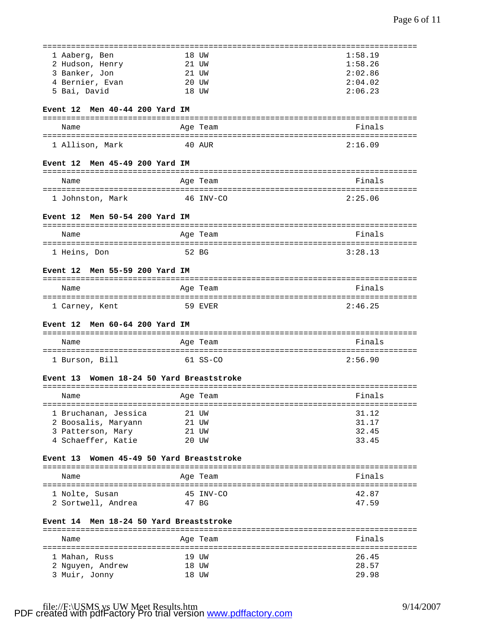| 1 Aaberg, Ben                             |         | 18 UW     | 1:58.19 |
|-------------------------------------------|---------|-----------|---------|
| 2 Hudson, Henry                           | 21 UW   |           | 1:58.26 |
| 3 Banker, Jon                             | 21 UW   |           | 2:02.86 |
| 4 Bernier, Evan                           | 20 UW   |           | 2:04.02 |
| 5 Bai, David                              |         | 18 UW     | 2:06.23 |
|                                           |         |           |         |
| Event 12 Men 40-44 200 Yard IM            |         |           |         |
| Name                                      |         | Age Team  | Finals  |
|                                           |         |           |         |
| 1 Allison, Mark                           | 40 AUR  |           | 2:16.09 |
| Men 45-49 200 Yard IM<br><b>Event 12</b>  |         |           |         |
| Name                                      |         | Age Team  | Finals  |
|                                           |         |           |         |
| 1 Johnston, Mark                          |         | 46 INV-CO | 2:25.06 |
| Event 12 Men 50-54 200 Yard IM            |         |           |         |
| Name                                      |         |           | Finals  |
|                                           |         | Age Team  |         |
| 1 Heins, Don                              |         | 52 BG     | 3:28.13 |
|                                           |         |           |         |
| Event 12 Men 55-59 200 Yard IM            |         |           |         |
| Name                                      |         | Age Team  | Finals  |
|                                           |         |           |         |
| 1 Carney, Kent                            | 59 EVER |           | 2:46.25 |
|                                           |         |           |         |
|                                           |         |           |         |
| Men 60-64 200 Yard IM<br><b>Event 12</b>  |         |           |         |
|                                           |         |           |         |
| Name                                      |         | Age Team  | Finals  |
| 1 Burson, Bill                            |         | 61 SS-CO  | 2:56.90 |
|                                           |         |           |         |
| Event 13 Women 18-24 50 Yard Breaststroke |         |           |         |
|                                           |         |           |         |
| Name<br>Age Team                          |         |           | Finals  |
|                                           |         |           |         |
| 1 Bruchanan, Jessica                      |         | 21 UW     | 31.12   |
| 2 Boosalis, Maryann                       | 21 UW   |           | 31.17   |
| 3 Patterson, Mary                         | 21 UW   |           | 32.45   |
| 4 Schaeffer, Katie                        |         | 20 UW     | 33.45   |
| Event 13 Women 45-49 50 Yard Breaststroke |         |           |         |
|                                           |         |           |         |
| Name                                      |         | Age Team  | Finals  |
|                                           |         |           |         |
| 1 Nolte, Susan                            |         | 45 INV-CO | 42.87   |
| 2 Sortwell, Andrea                        | 47 BG   |           | 47.59   |
| Event 14 Men 18-24 50 Yard Breaststroke   |         |           |         |
|                                           |         |           |         |
| Name                                      |         | Age Team  | Finals  |
|                                           |         | 19 UW     | 26.45   |
| 1 Mahan, Russ<br>2 Nguyen, Andrew         |         | 18 UW     | 28.57   |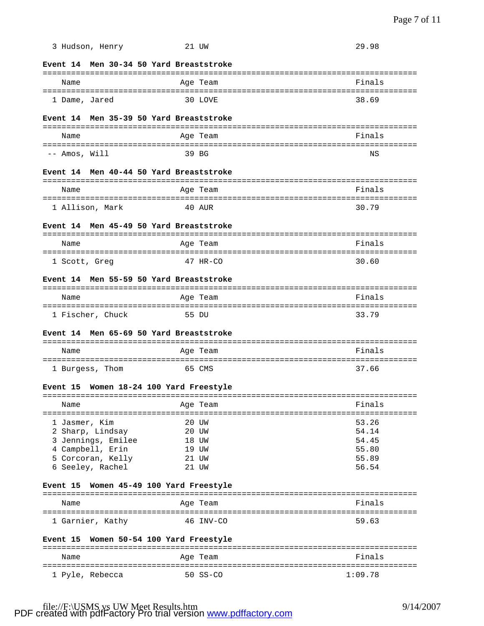| 3 Hudson, Henry                         | 21 UW                          | 29.98          |
|-----------------------------------------|--------------------------------|----------------|
| Event 14 Men 30-34 50 Yard Breaststroke |                                |                |
| Name                                    | Age Team                       | Finals         |
|                                         |                                |                |
| 1 Dame, Jared                           | 30 LOVE                        | 38.69          |
| Event 14 Men 35-39 50 Yard Breaststroke |                                |                |
| Name                                    | Age Team                       | Finals         |
| -- Amos, Will                           | 39 BG                          | ΝS             |
| Event 14                                | Men 40-44 50 Yard Breaststroke |                |
| Name                                    | Age Team                       | Finals         |
|                                         |                                |                |
| 1 Allison, Mark                         | 40 aur                         | 30.79          |
| Event 14 Men 45-49 50 Yard Breaststroke |                                |                |
| Name                                    | Age Team                       | Finals         |
| 1 Scott, Greg                           | $47$ HR-CO                     | 30.60          |
| Event 14 Men 55-59 50 Yard Breaststroke |                                |                |
| Name                                    | Age Team                       | Finals         |
| 1 Fischer, Chuck                        | 55 DU                          | 33.79          |
| Event 14                                | Men 65-69 50 Yard Breaststroke |                |
|                                         |                                |                |
| Name                                    | Age Team                       | Finals         |
| 1 Burgess, Thom                         | 65 CMS                         | 37.66          |
| Event 15 Women 18-24 100 Yard Freestyle |                                |                |
| Name                                    | Age Team                       | Finals         |
|                                         |                                | ---------      |
| 1 Jasmer, Kim                           | 20 UW                          | 53.26          |
| 2 Sharp, Lindsay                        | 20 UW                          | 54.14          |
| 3 Jennings, Emilee                      | 18 UW                          | 54.45          |
| 4 Campbell, Erin                        | 19 UW                          | 55.80          |
| 5 Corcoran, Kelly<br>6 Seeley, Rachel   | 21 UW<br>21 UW                 | 55.89<br>56.54 |
|                                         |                                |                |
| <b>Event 15</b>                         | Women 45-49 100 Yard Freestyle |                |
| Name<br>----------------------          | Aqe Team<br>=============      | Finals         |
| 1 Garnier, Kathy                        | 46 INV-CO                      | 59.63          |
| Event 15                                | Women 50-54 100 Yard Freestyle |                |
| Name                                    | Age Team                       | Finals         |
| 1 Pyle, Rebecca                         | 50 SS-CO                       | 1:09.78        |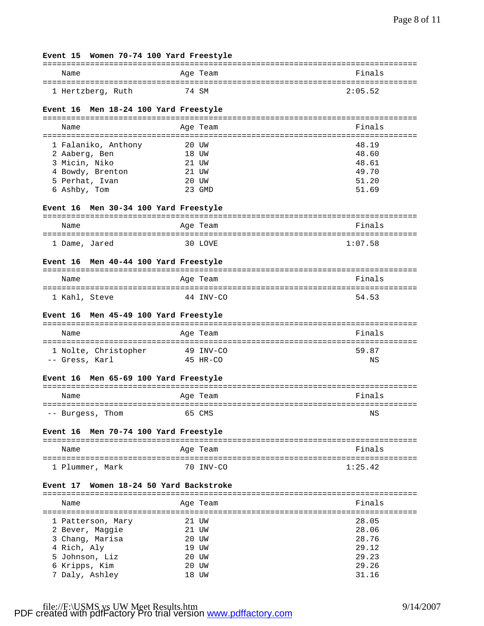| Event 15 Women 70-74 100 Yard Freestyle         |       |                      |  |
|-------------------------------------------------|-------|----------------------|--|
|                                                 |       |                      |  |
| Name                                            |       | Finals<br>Age Team   |  |
| 1 Hertzberg, Ruth                               |       | 74 SM<br>2:05.52     |  |
|                                                 |       |                      |  |
| Men 18-24 100 Yard Freestyle<br><b>Event 16</b> |       |                      |  |
|                                                 |       |                      |  |
| Name                                            |       | Finals<br>Age Team   |  |
|                                                 |       |                      |  |
| 1 Falaniko, Anthony                             |       | 20 UW<br>48.19       |  |
| 2 Aaberg, Ben                                   | 18 UW | 48.60                |  |
| 3 Micin, Niko                                   | 21 UW | 48.61                |  |
| 4 Bowdy, Brenton                                |       | 49.70<br>21 UW       |  |
| 5 Perhat, Ivan                                  | 20 UW | 51.20                |  |
| 6 Ashby, Tom                                    |       | 51.69<br>23 GMD      |  |
| Event 16 Men 30-34 100 Yard Freestyle           |       |                      |  |
|                                                 |       |                      |  |
| Name                                            |       | Finals<br>Age Team   |  |
|                                                 |       |                      |  |
| 1 Dame, Jared                                   |       | 30 LOVE<br>1:07.58   |  |
|                                                 |       |                      |  |
| Men 40-44 100 Yard Freestyle<br><b>Event 16</b> |       |                      |  |
| Name                                            |       | Finals<br>Age Team   |  |
|                                                 |       |                      |  |
| 1 Kahl, Steve                                   |       | 44 INV-CO<br>54.53   |  |
| Event 16 Men 45-49 100 Yard Freestyle           |       |                      |  |
|                                                 |       |                      |  |
| Name                                            |       | Finals<br>Age Team   |  |
| 1 Nolte, Christopher                            |       | 59.87<br>49 INV-CO   |  |
| -- Gress, Karl                                  |       | 45 HR-CO<br>ΝS       |  |
|                                                 |       |                      |  |
| Event 16 Men 65-69 100 Yard Freestyle           |       |                      |  |
| Name                                            |       | Finals<br>Age Team   |  |
|                                                 |       |                      |  |
| -- Burgess, Thom                                |       | 65 CMS<br>ΝS         |  |
| Men 70-74 100 Yard Freestyle<br><b>Event 16</b> |       |                      |  |
|                                                 |       |                      |  |
| Name                                            |       | Finals<br>Age Team   |  |
| 1 Plummer, Mark                                 |       | 1:25.42<br>70 INV-CO |  |
|                                                 |       |                      |  |
| Women 18-24 50 Yard Backstroke<br>Event 17      |       |                      |  |
|                                                 |       |                      |  |
| Name<br>-------------------------               |       | Finals<br>Age Team   |  |
|                                                 |       | 28.05<br>21 UW       |  |
| 1 Patterson, Mary<br>2 Bever, Maggie            |       | 28.06<br>21 UW       |  |
| 3 Chang, Marisa                                 |       | 28.76<br>20 UW       |  |
| 4 Rich, Aly                                     |       | 29.12<br>19 UW       |  |
| 5 Johnson, Liz                                  |       | 29.23<br>20 UW       |  |
| 6 Kripps, Kim                                   |       | 29.26<br>20 UW       |  |
| 7 Daly, Ashley                                  |       | 31.16<br>18 UW       |  |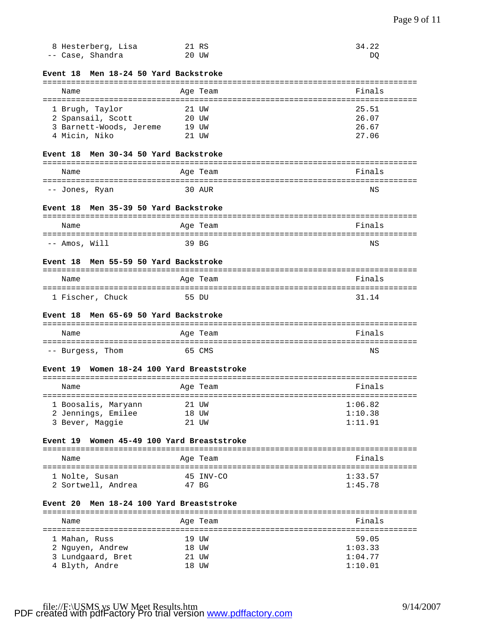| 8 Hesterberg, Lisa | 21 RS | 34.22 |
|--------------------|-------|-------|
| -- Case, Shandra   | 20 UW | DO    |

# **Event 18 Men 18-24 50 Yard Backstroke**

|  | Name                                                            |  | Age Team                | Finals                  |
|--|-----------------------------------------------------------------|--|-------------------------|-------------------------|
|  | 1 Brugh, Taylor<br>2 Spansail, Scott<br>3 Barnett-Woods, Jereme |  | 21 UW<br>20 UW<br>19 UW | 25.51<br>26.07<br>26.67 |
|  | 4 Micin, Niko                                                   |  | $21$ TJW                | 27.06                   |

#### **Event 18 Men 30-34 50 Yard Backstroke**

| Name           | Age Team | Finals |
|----------------|----------|--------|
| -- Jones, Ryan | 30 AUR   | ΝS     |

### **Event 18 Men 35-39 50 Yard Backstroke**

| Name          | Age Team | Finals |  |  |
|---------------|----------|--------|--|--|
|               |          |        |  |  |
| -- Amos, Will | 39 BG    | ΝS     |  |  |

## **Event 18 Men 55-59 50 Yard Backstroke**

| Name             | Age Team | Finals |  |  |  |
|------------------|----------|--------|--|--|--|
|                  |          |        |  |  |  |
| 1 Fischer, Chuck | 55 DU    | 31 14  |  |  |  |

#### **Event 18 Men 65-69 50 Yard Backstroke**

| Name             | Age Team | Finals |  |  |
|------------------|----------|--------|--|--|
|                  |          |        |  |  |
| -- Burgess, Thom | 65 CMS   | ΝS     |  |  |

#### **Event 19 Women 18-24 100 Yard Breaststroke**

| Name                                                         | Age Team                    | Finals                        |
|--------------------------------------------------------------|-----------------------------|-------------------------------|
| 1 Boosalis, Maryann<br>2 Jennings, Emilee<br>3 Bever, Maggie | 21 UW<br>18 UW<br>tjw<br>21 | 1:06.82<br>1:10.38<br>1:11.91 |

## **Event 19 Women 45-49 100 Yard Breaststroke**

| Name               | Age Team  | Finals  |
|--------------------|-----------|---------|
| 1 Nolte, Susan     | 45 INV-CO | 1:33.57 |
| 2 Sortwell, Andrea | 47 BG     | 1:45.78 |

### **Event 20 Men 18-24 100 Yard Breaststroke**

| Name              | Age Team |  | Finals  |  |  |
|-------------------|----------|--|---------|--|--|
|                   |          |  |         |  |  |
| 1 Mahan, Russ     | 19 UW    |  | 59.05   |  |  |
| 2 Nguyen, Andrew  | 18 UW    |  | 1:03.33 |  |  |
| 3 Lundgaard, Bret | 21 UW    |  | 1:04.77 |  |  |
| 4 Blyth, Andre    | 18 UW    |  | 1:10.01 |  |  |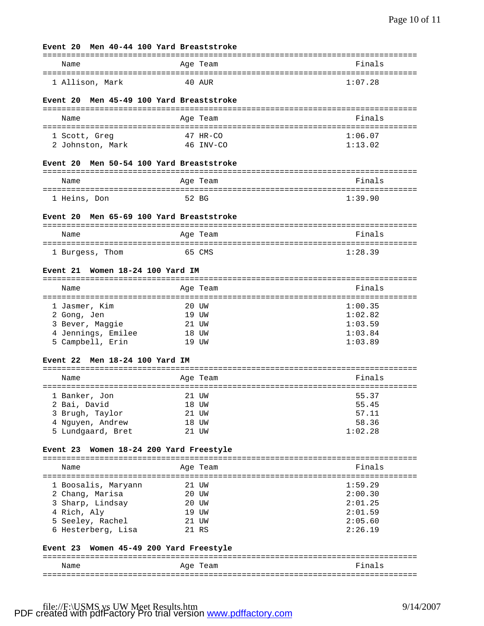#### **Event 20 Men 40-44 100 Yard Breaststroke**

## =============================================================================== Name **Age Team** Age Team **Finals** =============================================================================== 1 Allison, Mark 40 AUR 1:07.28

### **Event 20 Men 45-49 100 Yard Breaststroke**

| Name             | Age Team   | Finals  |  |  |  |
|------------------|------------|---------|--|--|--|
| 1 Scott, Greg    | $47$ HR-CO | 1:06.07 |  |  |  |
| 2 Johnston, Mark | 46 INV-CO  | 1:13.02 |  |  |  |

#### **Event 20 Men 50-54 100 Yard Breaststroke**

| Name         | Age Team | Finals  |  |  |
|--------------|----------|---------|--|--|
|              |          |         |  |  |
| 1 Heins, Don | 52 BG    | 1:39.90 |  |  |

#### **Event 20 Men 65-69 100 Yard Breaststroke**

| Name            | Age Team | Finals  |  |  |
|-----------------|----------|---------|--|--|
|                 |          |         |  |  |
| 1 Burgess, Thom | 65 CMS   | 1:28.39 |  |  |

### **Event 21 Women 18-24 100 Yard IM**

|  | Name               |       | Age Team | Finals  |  |
|--|--------------------|-------|----------|---------|--|
|  |                    |       |          |         |  |
|  | 1 Jasmer, Kim      | 20 UW |          | 1:00.35 |  |
|  | 2 Gong, Jen        | 19 UW |          | 1:02.82 |  |
|  | 3 Bever, Maggie    | 21 UW |          | 1:03.59 |  |
|  | 4 Jennings, Emilee | 18 UW |          | 1:03.84 |  |
|  | 5 Campbell, Erin   |       | 19 TJW   | 1:03.89 |  |

#### **Event 22 Men 18-24 100 Yard IM**

|  | Name              |       | Age Team | Finals  |  |
|--|-------------------|-------|----------|---------|--|
|  |                   |       |          |         |  |
|  | 1 Banker, Jon     | 21 UW |          | 55.37   |  |
|  | 2 Bai, David      | 18 UW |          | 55.45   |  |
|  | 3 Brugh, Taylor   | 21 UW |          | 57.11   |  |
|  | 4 Nguyen, Andrew  | 18 UW |          | 58.36   |  |
|  | 5 Lundgaard, Bret |       | ttw      | 1:02.28 |  |

## **Event 23 Women 18-24 200 Yard Freestyle**

| Name                                                                   |                     | Age Team                                  | Finals                                              |
|------------------------------------------------------------------------|---------------------|-------------------------------------------|-----------------------------------------------------|
| 2 Chang, Marisa<br>3 Sharp, Lindsay<br>4 Rich, Aly<br>5 Seeley, Rachel | 1 Boosalis, Maryann | 21 UW<br>20 UW<br>20 UW<br>19 UW<br>21 UW | 1:59.29<br>2:00.30<br>2:01.25<br>2:01.59<br>2:05.60 |
|                                                                        | 6 Hesterberg, Lisa  | 21 RS                                     | 2:26.19                                             |

### **Event 23 Women 45-49 200 Yard Freestyle**

| Name | Aqe<br>Team | Finals |
|------|-------------|--------|
|      |             |        |